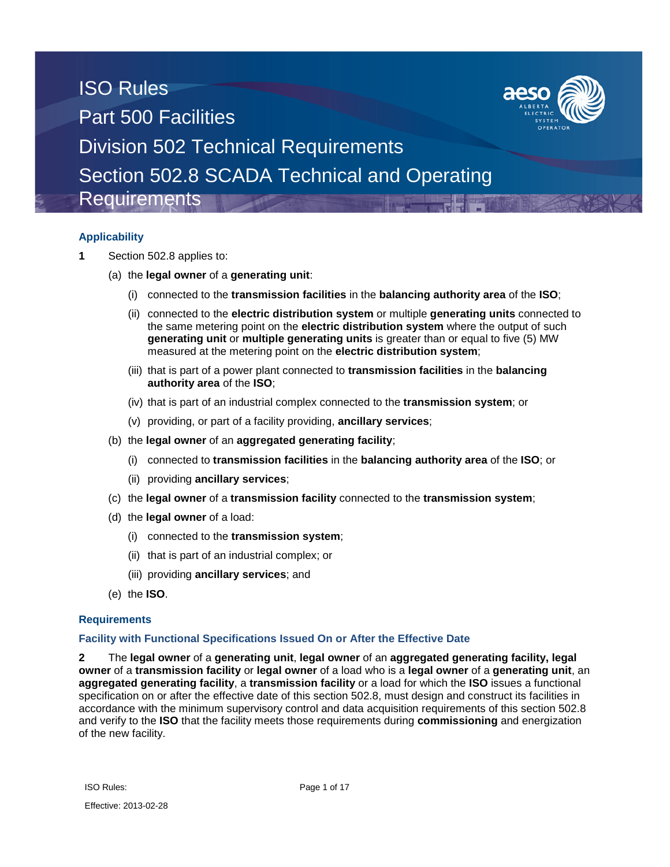## **Applicability**

- **1** Section 502.8 applies to:
	- (a) the **legal owner** of a **generating unit**:
		- (i) connected to the **transmission facilities** in the **balancing authority area** of the **ISO**;
		- (ii) connected to the **electric distribution system** or multiple **generating units** connected to the same metering point on the **electric distribution system** where the output of such **generating unit** or **multiple generating units** is greater than or equal to five (5) MW measured at the metering point on the **electric distribution system**;
		- (iii) that is part of a power plant connected to **transmission facilities** in the **balancing authority area** of the **ISO**;
		- (iv) that is part of an industrial complex connected to the **transmission system**; or
		- (v) providing, or part of a facility providing, **ancillary services**;
	- (b) the **legal owner** of an **aggregated generating facility**;
		- (i) connected to **transmission facilities** in the **balancing authority area** of the **ISO**; or
		- (ii) providing **ancillary services**;
	- (c) the **legal owner** of a **transmission facility** connected to the **transmission system**;
	- (d) the **legal owner** of a load:
		- (i) connected to the **transmission system**;
		- (ii) that is part of an industrial complex; or
		- (iii) providing **ancillary services**; and
	- (e) the **ISO**.

### **Requirements**

### **Facility with Functional Specifications Issued On or After the Effective Date**

**2** The **legal owner** of a **generating unit**, **legal owner** of an **aggregated generating facility, legal owner** of a **transmission facility** or **legal owner** of a load who is a **legal owner** of a **generating unit**, an **aggregated generating facility**, a **transmission facility** or a load for which the **ISO** issues a functional specification on or after the effective date of this section 502.8, must design and construct its facilities in accordance with the minimum supervisory control and data acquisition requirements of this section 502.8 and verify to the **ISO** that the facility meets those requirements during **commissioning** and energization of the new facility.

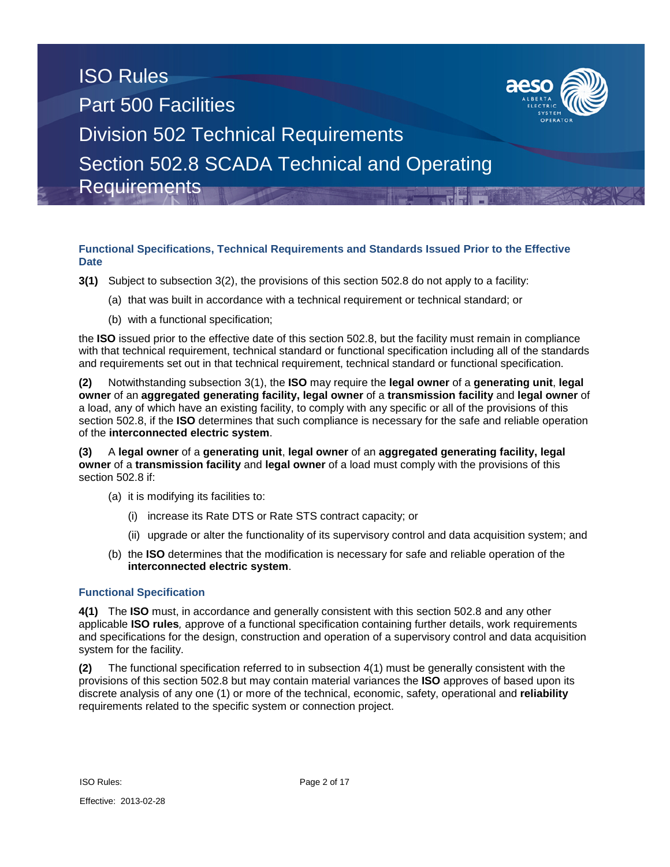

### **Functional Specifications, Technical Requirements and Standards Issued Prior to the Effective Date**

- **3(1)** Subject to subsection 3(2), the provisions of this section 502.8 do not apply to a facility:
	- (a) that was built in accordance with a technical requirement or technical standard; or
	- (b) with a functional specification;

the **ISO** issued prior to the effective date of this section 502.8, but the facility must remain in compliance with that technical requirement, technical standard or functional specification including all of the standards and requirements set out in that technical requirement, technical standard or functional specification.

**(2)** Notwithstanding subsection 3(1), the **ISO** may require the **legal owner** of a **generating unit**, **legal owner** of an **aggregated generating facility, legal owner** of a **transmission facility** and **legal owner** of a load, any of which have an existing facility, to comply with any specific or all of the provisions of this section 502.8, if the **ISO** determines that such compliance is necessary for the safe and reliable operation of the **interconnected electric system**.

**(3)** A **legal owner** of a **generating unit**, **legal owner** of an **aggregated generating facility, legal owner** of a **transmission facility** and **legal owner** of a load must comply with the provisions of this section 502.8 if:

- (a) it is modifying its facilities to:
	- (i) increase its Rate DTS or Rate STS contract capacity; or
	- (ii) upgrade or alter the functionality of its supervisory control and data acquisition system; and
- (b) the **ISO** determines that the modification is necessary for safe and reliable operation of the **interconnected electric system**.

### **Functional Specification**

**4(1)** The **ISO** must, in accordance and generally consistent with this section 502.8 and any other applicable **ISO rules***,* approve of a functional specification containing further details, work requirements and specifications for the design, construction and operation of a supervisory control and data acquisition system for the facility.

**(2)** The functional specification referred to in subsection 4(1) must be generally consistent with the provisions of this section 502.8 but may contain material variances the **ISO** approves of based upon its discrete analysis of any one (1) or more of the technical, economic, safety, operational and **reliability**  requirements related to the specific system or connection project.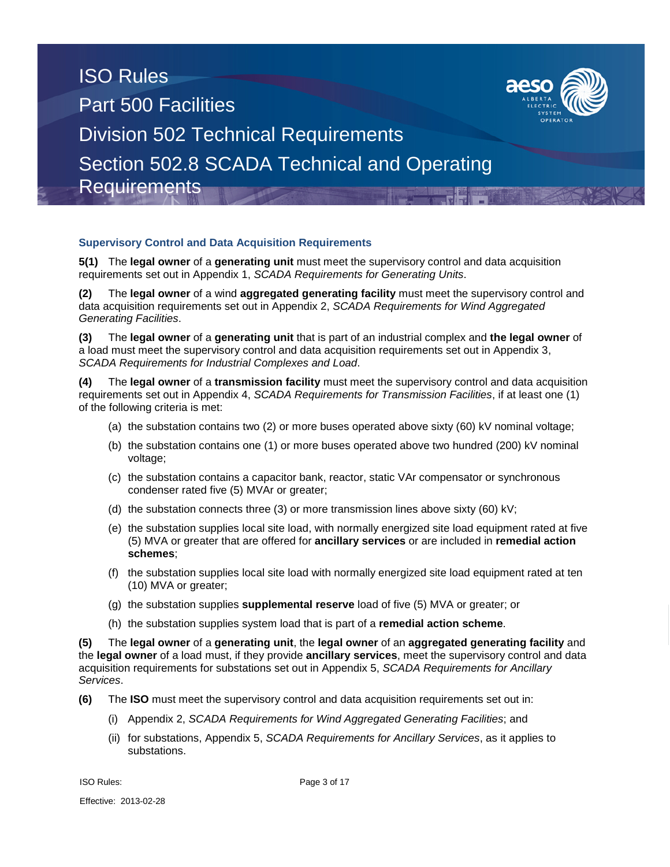

### **Supervisory Control and Data Acquisition Requirements**

**5(1)** The **legal owner** of a **generating unit** must meet the supervisory control and data acquisition requirements set out in Appendix 1, *SCADA Requirements for Generating Units*.

**(2)** The **legal owner** of a wind **aggregated generating facility** must meet the supervisory control and data acquisition requirements set out in Appendix 2, *SCADA Requirements for Wind Aggregated Generating Facilities*.

**(3)** The **legal owner** of a **generating unit** that is part of an industrial complex and **the legal owner** of a load must meet the supervisory control and data acquisition requirements set out in Appendix 3, *SCADA Requirements for Industrial Complexes and Load*.

**(4)** The **legal owner** of a **transmission facility** must meet the supervisory control and data acquisition requirements set out in Appendix 4, *SCADA Requirements for Transmission Facilities*, if at least one (1) of the following criteria is met:

- (a) the substation contains two (2) or more buses operated above sixty (60) kV nominal voltage;
- (b) the substation contains one (1) or more buses operated above two hundred (200) kV nominal voltage;
- (c) the substation contains a capacitor bank, reactor, static VAr compensator or synchronous condenser rated five (5) MVAr or greater;
- (d) the substation connects three (3) or more transmission lines above sixty (60) kV;
- (e) the substation supplies local site load, with normally energized site load equipment rated at five (5) MVA or greater that are offered for **ancillary services** or are included in **remedial action schemes**;
- (f) the substation supplies local site load with normally energized site load equipment rated at ten (10) MVA or greater;
- (g) the substation supplies **supplemental reserve** load of five (5) MVA or greater; or
- (h) the substation supplies system load that is part of a **remedial action scheme**.

**(5)** The **legal owner** of a **generating unit**, the **legal owner** of an **aggregated generating facility** and the **legal owner** of a load must, if they provide **ancillary services**, meet the supervisory control and data acquisition requirements for substations set out in Appendix 5, *SCADA Requirements for Ancillary Services*.

- **(6)** The **ISO** must meet the supervisory control and data acquisition requirements set out in:
	- (i) Appendix 2, *SCADA Requirements for Wind Aggregated Generating Facilities*; and
	- (ii) for substations, Appendix 5, *SCADA Requirements for Ancillary Services*, as it applies to substations.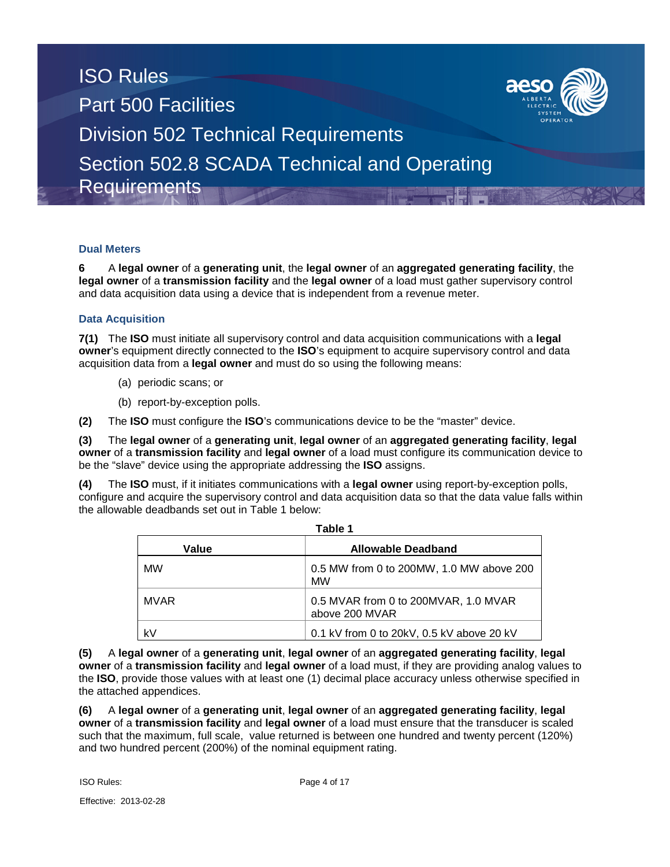

### **Dual Meters**

**6** A **legal owner** of a **generating unit**, the **legal owner** of an **aggregated generating facility**, the **legal owner** of a **transmission facility** and the **legal owner** of a load must gather supervisory control and data acquisition data using a device that is independent from a revenue meter.

### **Data Acquisition**

**7(1)** The **ISO** must initiate all supervisory control and data acquisition communications with a **legal owner**'s equipment directly connected to the **ISO**'s equipment to acquire supervisory control and data acquisition data from a **legal owner** and must do so using the following means:

- (a) periodic scans; or
- (b) report-by-exception polls.

**(2)** The **ISO** must configure the **ISO**'s communications device to be the "master" device.

**(3)** The **legal owner** of a **generating unit**, **legal owner** of an **aggregated generating facility**, **legal owner** of a **transmission facility** and **legal owner** of a load must configure its communication device to be the "slave" device using the appropriate addressing the **ISO** assigns.

**(4)** The **ISO** must, if it initiates communications with a **legal owner** using report-by-exception polls, configure and acquire the supervisory control and data acquisition data so that the data value falls within the allowable deadbands set out in Table 1 below:

| Table 1     |                                                        |  |  |  |  |  |  |  |
|-------------|--------------------------------------------------------|--|--|--|--|--|--|--|
| Value       | <b>Allowable Deadband</b>                              |  |  |  |  |  |  |  |
| <b>MW</b>   | 0.5 MW from 0 to 200MW, 1.0 MW above 200<br><b>MW</b>  |  |  |  |  |  |  |  |
| <b>MVAR</b> | 0.5 MVAR from 0 to 200MVAR, 1.0 MVAR<br>above 200 MVAR |  |  |  |  |  |  |  |
| k۷          | 0.1 kV from 0 to 20kV, $0.5$ kV above 20 kV            |  |  |  |  |  |  |  |

**(5)** A **legal owner** of a **generating unit**, **legal owner** of an **aggregated generating facility**, **legal owner** of a **transmission facility** and **legal owner** of a load must, if they are providing analog values to the **ISO**, provide those values with at least one (1) decimal place accuracy unless otherwise specified in the attached appendices.

**(6)** A **legal owner** of a **generating unit**, **legal owner** of an **aggregated generating facility**, **legal owner** of a **transmission facility** and **legal owner** of a load must ensure that the transducer is scaled such that the maximum, full scale, value returned is between one hundred and twenty percent (120%) and two hundred percent (200%) of the nominal equipment rating.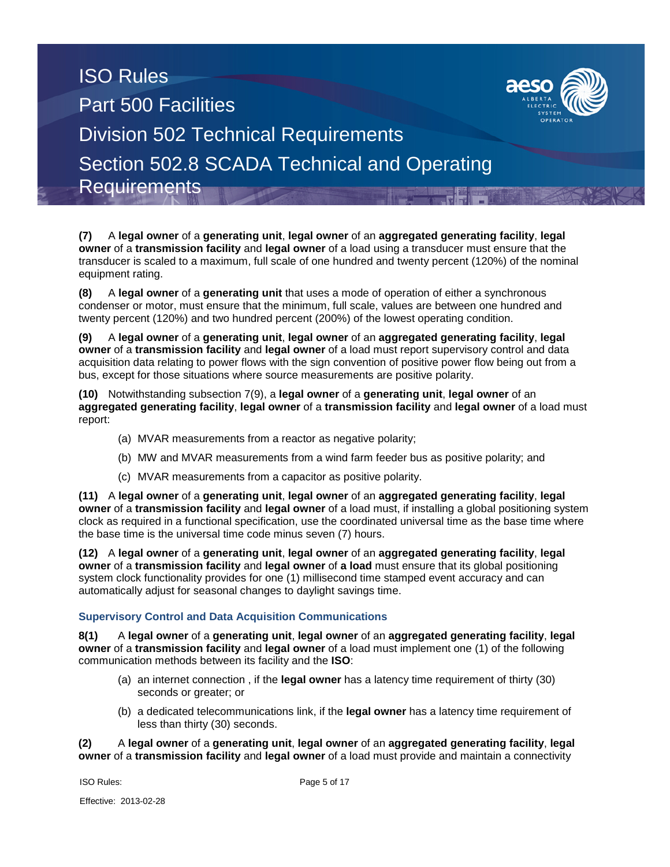**(7)** A **legal owner** of a **generating unit**, **legal owner** of an **aggregated generating facility**, **legal owner** of a **transmission facility** and **legal owner** of a load using a transducer must ensure that the transducer is scaled to a maximum, full scale of one hundred and twenty percent (120%) of the nominal equipment rating.

**(8)** A **legal owner** of a **generating unit** that uses a mode of operation of either a synchronous condenser or motor, must ensure that the minimum, full scale, values are between one hundred and twenty percent (120%) and two hundred percent (200%) of the lowest operating condition.

**(9)** A **legal owner** of a **generating unit**, **legal owner** of an **aggregated generating facility**, **legal owner** of a **transmission facility** and **legal owner** of a load must report supervisory control and data acquisition data relating to power flows with the sign convention of positive power flow being out from a bus, except for those situations where source measurements are positive polarity.

**(10)** Notwithstanding subsection 7(9), a **legal owner** of a **generating unit**, **legal owner** of an **aggregated generating facility**, **legal owner** of a **transmission facility** and **legal owner** of a load must report:

- (a) MVAR measurements from a reactor as negative polarity;
- (b) MW and MVAR measurements from a wind farm feeder bus as positive polarity; and
- (c) MVAR measurements from a capacitor as positive polarity.

**(11)** A **legal owner** of a **generating unit**, **legal owner** of an **aggregated generating facility**, **legal owner** of a **transmission facility** and **legal owner** of a load must, if installing a global positioning system clock as required in a functional specification, use the coordinated universal time as the base time where the base time is the universal time code minus seven (7) hours.

**(12)** A **legal owner** of a **generating unit**, **legal owner** of an **aggregated generating facility**, **legal owner** of a **transmission facility** and **legal owner** of **a load** must ensure that its global positioning system clock functionality provides for one (1) millisecond time stamped event accuracy and can automatically adjust for seasonal changes to daylight savings time.

## **Supervisory Control and Data Acquisition Communications**

**8(1)** A **legal owner** of a **generating unit**, **legal owner** of an **aggregated generating facility**, **legal owner** of a **transmission facility** and **legal owner** of a load must implement one (1) of the following communication methods between its facility and the **ISO**:

- (a) an internet connection , if the **legal owner** has a latency time requirement of thirty (30) seconds or greater; or
- (b) a dedicated telecommunications link, if the **legal owner** has a latency time requirement of less than thirty (30) seconds.

**(2)** A **legal owner** of a **generating unit**, **legal owner** of an **aggregated generating facility**, **legal owner** of a **transmission facility** and **legal owner** of a load must provide and maintain a connectivity

Page 5 of 17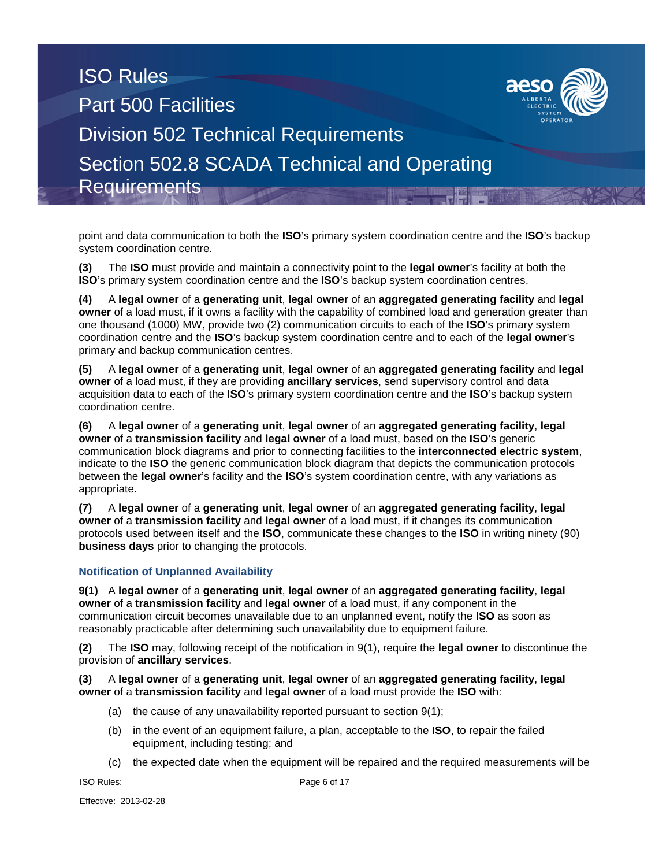point and data communication to both the **ISO**'s primary system coordination centre and the **ISO**'s backup system coordination centre.

**(3)** The **ISO** must provide and maintain a connectivity point to the **legal owner**'s facility at both the **ISO**'s primary system coordination centre and the **ISO**'s backup system coordination centres.

**(4)** A **legal owner** of a **generating unit**, **legal owner** of an **aggregated generating facility** and **legal owner** of a load must, if it owns a facility with the capability of combined load and generation greater than one thousand (1000) MW, provide two (2) communication circuits to each of the **ISO**'s primary system coordination centre and the **ISO**'s backup system coordination centre and to each of the **legal owner**'s primary and backup communication centres.

**(5)** A **legal owner** of a **generating unit**, **legal owner** of an **aggregated generating facility** and **legal owner** of a load must, if they are providing **ancillary services**, send supervisory control and data acquisition data to each of the **ISO**'s primary system coordination centre and the **ISO**'s backup system coordination centre.

**(6)** A **legal owner** of a **generating unit**, **legal owner** of an **aggregated generating facility**, **legal owner** of a **transmission facility** and **legal owner** of a load must, based on the **ISO**'s generic communication block diagrams and prior to connecting facilities to the **interconnected electric system**, indicate to the **ISO** the generic communication block diagram that depicts the communication protocols between the **legal owner**'s facility and the **ISO**'s system coordination centre, with any variations as appropriate.

**(7)** A **legal owner** of a **generating unit**, **legal owner** of an **aggregated generating facility**, **legal owner** of a **transmission facility** and **legal owner** of a load must, if it changes its communication protocols used between itself and the **ISO**, communicate these changes to the **ISO** in writing ninety (90) **business days** prior to changing the protocols.

## **Notification of Unplanned Availability**

**9(1)** A **legal owner** of a **generating unit**, **legal owner** of an **aggregated generating facility**, **legal owner** of a **transmission facility** and **legal owner** of a load must, if any component in the communication circuit becomes unavailable due to an unplanned event, notify the **ISO** as soon as reasonably practicable after determining such unavailability due to equipment failure.

**(2)** The **ISO** may, following receipt of the notification in 9(1), require the **legal owner** to discontinue the provision of **ancillary services**.

### **(3)** A **legal owner** of a **generating unit**, **legal owner** of an **aggregated generating facility**, **legal owner** of a **transmission facility** and **legal owner** of a load must provide the **ISO** with:

- (a) the cause of any unavailability reported pursuant to section 9(1);
- (b) in the event of an equipment failure, a plan, acceptable to the **ISO**, to repair the failed equipment, including testing; and
- (c) the expected date when the equipment will be repaired and the required measurements will be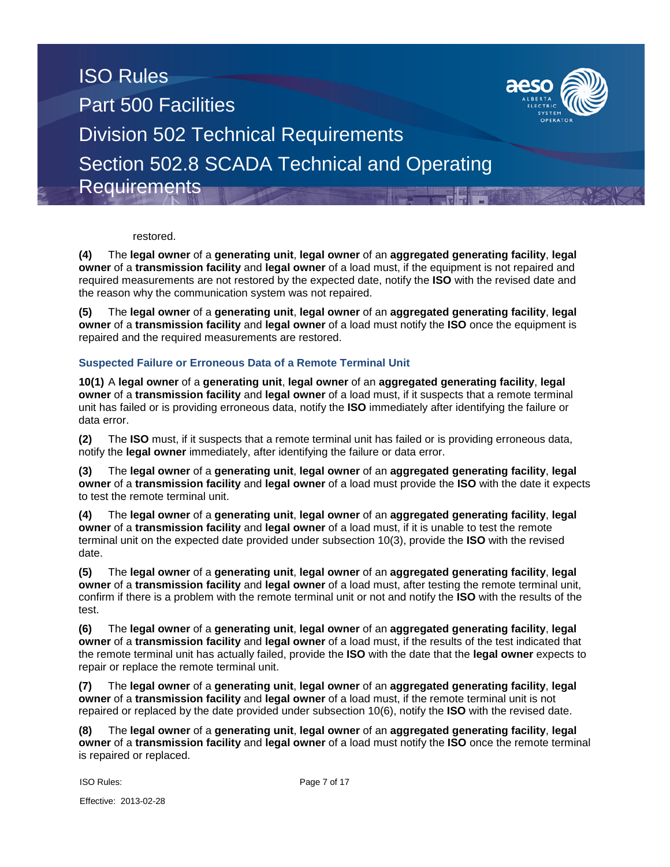

restored.

**(4)** The **legal owner** of a **generating unit**, **legal owner** of an **aggregated generating facility**, **legal owner** of a **transmission facility** and **legal owner** of a load must, if the equipment is not repaired and required measurements are not restored by the expected date, notify the **ISO** with the revised date and the reason why the communication system was not repaired.

**(5)** The **legal owner** of a **generating unit**, **legal owner** of an **aggregated generating facility**, **legal owner** of a **transmission facility** and **legal owner** of a load must notify the **ISO** once the equipment is repaired and the required measurements are restored.

### **Suspected Failure or Erroneous Data of a Remote Terminal Unit**

**10(1)** A **legal owner** of a **generating unit**, **legal owner** of an **aggregated generating facility**, **legal owner** of a **transmission facility** and **legal owner** of a load must, if it suspects that a remote terminal unit has failed or is providing erroneous data, notify the **ISO** immediately after identifying the failure or data error.

**(2)** The **ISO** must, if it suspects that a remote terminal unit has failed or is providing erroneous data, notify the **legal owner** immediately, after identifying the failure or data error.

**(3)** The **legal owner** of a **generating unit**, **legal owner** of an **aggregated generating facility**, **legal owner** of a **transmission facility** and **legal owner** of a load must provide the **ISO** with the date it expects to test the remote terminal unit.

**(4)** The **legal owner** of a **generating unit**, **legal owner** of an **aggregated generating facility**, **legal owner** of a **transmission facility** and **legal owner** of a load must, if it is unable to test the remote terminal unit on the expected date provided under subsection 10(3), provide the **ISO** with the revised date.

**(5)** The **legal owner** of a **generating unit**, **legal owner** of an **aggregated generating facility**, **legal owner** of a **transmission facility** and **legal owner** of a load must, after testing the remote terminal unit, confirm if there is a problem with the remote terminal unit or not and notify the **ISO** with the results of the test.

**(6)** The **legal owner** of a **generating unit**, **legal owner** of an **aggregated generating facility**, **legal owner** of a **transmission facility** and **legal owner** of a load must, if the results of the test indicated that the remote terminal unit has actually failed, provide the **ISO** with the date that the **legal owner** expects to repair or replace the remote terminal unit.

**(7)** The **legal owner** of a **generating unit**, **legal owner** of an **aggregated generating facility**, **legal owner** of a **transmission facility** and **legal owner** of a load must, if the remote terminal unit is not repaired or replaced by the date provided under subsection 10(6), notify the **ISO** with the revised date.

**(8)** The **legal owner** of a **generating unit**, **legal owner** of an **aggregated generating facility**, **legal owner** of a **transmission facility** and **legal owner** of a load must notify the **ISO** once the remote terminal is repaired or replaced.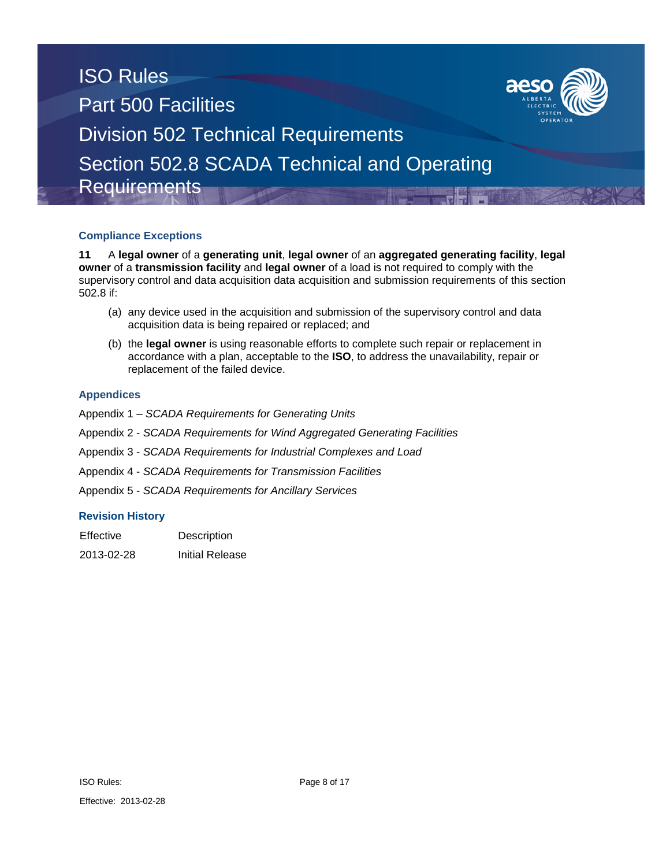

### **Compliance Exceptions**

**11** A **legal owner** of a **generating unit**, **legal owner** of an **aggregated generating facility**, **legal owner** of a **transmission facility** and **legal owner** of a load is not required to comply with the supervisory control and data acquisition data acquisition and submission requirements of this section 502.8 if:

- (a) any device used in the acquisition and submission of the supervisory control and data acquisition data is being repaired or replaced; and
- (b) the **legal owner** is using reasonable efforts to complete such repair or replacement in accordance with a plan, acceptable to the **ISO**, to address the unavailability, repair or replacement of the failed device.

#### **Appendices**

- Appendix 1 *SCADA Requirements for Generating Units*
- Appendix 2 *SCADA Requirements for Wind Aggregated Generating Facilities*
- Appendix 3 *SCADA Requirements for Industrial Complexes and Load*
- Appendix 4 *SCADA Requirements for Transmission Facilities*
- Appendix 5 *SCADA Requirements for Ancillary Services*

#### **Revision History**

| Effective  | Description            |
|------------|------------------------|
| 2013-02-28 | <b>Initial Release</b> |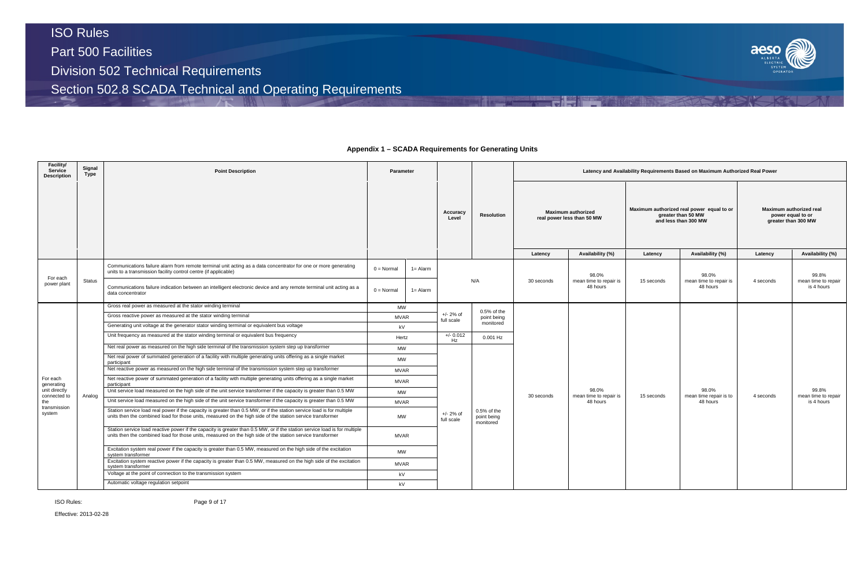# ISO Rules Part 500 Facilities Division 502 Technical Requirements

Section 502.8 SCADA Technical and Operating Requirements

#### **Facility/ Service Description Signal Type Point Description Parameter Latency and Availability Requirements Based on Maximum Authorized Real Power Accuracy Level Resolution Maximum authorized real power less than 50 MW Latency Availability (%) Latency Availability (%) Latency Availability (%)** For each Por each<br>power plant Status Communications failure alarm from remote terminal unit acting as a data concentrator for one or more generating Unity communications failure alarm from remote terminal unit acting as a data concentrator for one or more generating  $0 = \text{Normal} \left( 1 = \text{Adam} \right)$ <br>units to a transmission facility control centre (if applicable) N/A 30 seconds 98.0% mean time to repair is 48 hours Communications failure indication between an intelligent electronic device and any remote terminal unit acting as a intelligent electronic device and any remote terminal unit acting as a intelligent of the strength of the For each generating unit directly connected to the transmission system Analog Gross real power as measured at the stator winding terminal MW +/- 2% of full scale 0.5% of the point being monitored 30 seconds 98.0% mean time to repair is 48 hours Gross reactive power as measured at the stator winding terminal MVAR Generating unit voltage at the generator stator winding terminal or equivalent bus voltage kV kV Unit frequency as measured at the stator winding terminal or equivalent bus frequency Hertz Hertz +/- 0.012 0.001 Hz Net real power as measured on the high side terminal of the transmission system step up transformer MW +/- 2% of full scale 0.5% of the point being monitored Net real power of summated generation of a facility with multiple generating units offering as a single market participant MW Net reactive power as measured on the high side terminal of the transmission system step up transformer MVAR Net reactive power of summated generation of a facility with multiple generating units offering as a single market participant MVAR Unit service load measured on the high side of the unit service transformer if the capacity is greater than 0.5 MW Unit service load measured on the high side of the unit service transformer if the capacity is greater than 0.5 MW MVAR Station service load real power if the capacity is greater than 0.5 MW, or if the station service load is for multiple units then the combined load for those units, measured on the high side of the station service transformer MW Station service load reactive power if the capacity is greater than 0.5 MW, or if the station service load is for multiple units then the combined load for those units, measured on the high side of the station service transformer MVAR Excitation system real power if the capacity is greater than 0.5 MW, measured on the high side of the excitation<br>system transformer Excitation system reactive power if the capacity is greater than 0.5 MW, measured on the high side of the excitation **MVAR**<br>system transformer Voltage at the point of connection to the transmission system **kV** and the transmission system **kV** kV Automatic voltage regulation setpoint and the contract of the contract of the contract of the contract of the contract of the contract of the contract of the contract of the contract of the contract of the contract of the

ISO Rules:

Effective: 2013-02-28



**Appendix 1 – SCADA Requirements for Generating Units**

|            | vility Requirements Based on Maximum Authorized Real Power                              |                                                                     |                                            |  |  |  |  |  |  |
|------------|-----------------------------------------------------------------------------------------|---------------------------------------------------------------------|--------------------------------------------|--|--|--|--|--|--|
|            | Maximum authorized real power equal to or<br>greater than 50 MW<br>and less than 300 MW | Maximum authorized real<br>power equal to or<br>greater than 300 MW |                                            |  |  |  |  |  |  |
| Latency    | Availability (%)                                                                        | Latency                                                             | Availability (%)                           |  |  |  |  |  |  |
| 15 seconds | 98.0%<br>mean time to repair is<br>48 hours                                             | 4 seconds                                                           | 99.8%<br>mean time to repair<br>is 4 hours |  |  |  |  |  |  |
| 15 seconds | 98.0%<br>mean time repair is to<br>48 hours                                             | 4 seconds                                                           | 99.8%<br>mean time to repair<br>is 4 hours |  |  |  |  |  |  |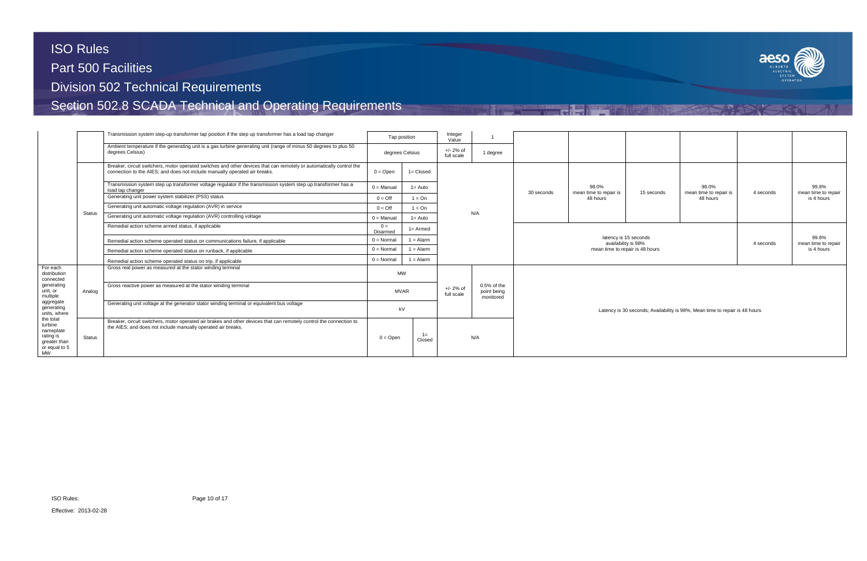

|                                                                                 |               | Transmission system step-up transformer tap position if the step up transformer has a load tap changer                                                                                             |                     | Tap position                  | Integer<br>Value          |                                         |            |                                 |                                              |                                                                             |           |                              |  |
|---------------------------------------------------------------------------------|---------------|----------------------------------------------------------------------------------------------------------------------------------------------------------------------------------------------------|---------------------|-------------------------------|---------------------------|-----------------------------------------|------------|---------------------------------|----------------------------------------------|-----------------------------------------------------------------------------|-----------|------------------------------|--|
|                                                                                 |               | Ambient temperature if the generating unit is a gas turbine generating unit (range of minus 50 degrees to plus 50<br>degrees Celsius)                                                              |                     | degrees Celsius               | $+/- 2%$ of<br>full scale | 1 degree                                |            |                                 |                                              |                                                                             |           |                              |  |
|                                                                                 |               | Breaker, circuit switchers, motor operated switches and other devices that can remotely or automatically control the<br>connection to the AIES; and does not include manually operated air breaks. | $0 =$ Open          | $1 = Closed$                  |                           |                                         |            |                                 |                                              |                                                                             |           |                              |  |
|                                                                                 |               | Transmission system step up transformer voltage regulator if the transmission system step up transformer has a<br>load tap changer                                                                 | $0 =$ Manual        | $1 =$ Auto                    |                           |                                         | 30 seconds | 98.0%<br>mean time to repair is | 15 seconds                                   | 98.0%<br>mean time to repair is                                             | 4 seconds | 99.8%<br>mean time to repair |  |
|                                                                                 |               | Generating unit power system stabilizer (PSS) status                                                                                                                                               | $0 = \text{Off}$    | $1 = On$                      |                           |                                         |            | 48 hours                        |                                              | 48 hours                                                                    |           | is 4 hours                   |  |
|                                                                                 |               | Generating unit automatic voltage regulation (AVR) in service                                                                                                                                      | $0 = \text{Off}$    | $1 = On$                      |                           |                                         |            |                                 |                                              |                                                                             |           |                              |  |
|                                                                                 | <b>Status</b> | Generating unit automatic voltage regulation (AVR) controlling voltage                                                                                                                             | $0 =$ Manual        | $1 =$ Auto                    |                           | N/A                                     |            |                                 |                                              |                                                                             |           |                              |  |
|                                                                                 |               | Remedial action scheme armed status, if applicable                                                                                                                                                 | $0 =$<br>Disarmed   | $1 =$ Armed                   |                           |                                         |            |                                 |                                              |                                                                             |           |                              |  |
|                                                                                 |               | Remedial action scheme operated status on communications failure, if applicable                                                                                                                    | $0 = \text{Normal}$ | $1 =$ Alarm                   |                           |                                         |            |                                 | latency is 15 seconds<br>availability is 98% |                                                                             | 4 seconds | 99.8%<br>mean time to repair |  |
|                                                                                 |               | Remedial action scheme operated status on runback, if applicable                                                                                                                                   | $0 = \text{Normal}$ | $1 =$ Alarm                   |                           |                                         |            | mean time to repair is 48 hours |                                              | is 4 hours                                                                  |           |                              |  |
|                                                                                 |               | Remedial action scheme operated status on trip, if applicable                                                                                                                                      | $0 = \text{Normal}$ | $1 =$ Alarm                   |                           |                                         |            |                                 |                                              |                                                                             |           |                              |  |
| For each<br>distribution<br>connected                                           |               | Gross real power as measured at the stator winding terminal                                                                                                                                        |                     | <b>MW</b>                     |                           |                                         |            |                                 |                                              |                                                                             |           |                              |  |
| generating<br>unit, or<br>multiple                                              | Analog        | Gross reactive power as measured at the stator winding terminal                                                                                                                                    |                     | <b>MVAR</b>                   | $+/- 2%$ of<br>full scale | 0.5% of the<br>point being<br>monitored |            |                                 |                                              |                                                                             |           |                              |  |
| aggregate<br>generating<br>units, where                                         |               | Generating unit voltage at the generator stator winding terminal or equivalent bus voltage                                                                                                         |                     | kV                            |                           |                                         |            |                                 |                                              | Latency is 30 seconds; Availability is 98%; Mean time to repair is 48 hours |           |                              |  |
| the total<br>turbine<br>nameplate<br>rating is<br>greater than<br>or equal to 5 | Status        | Breaker, circuit switchers, motor operated air brakes and other devices that can remotely control the connection to<br>the AIES; and does not include manually operated air breaks.                |                     | $1 =$<br>$0 =$ Open<br>Closed |                           | N/A                                     |            |                                 |                                              |                                                                             |           |                              |  |
| <b>MW</b>                                                                       |               |                                                                                                                                                                                                    |                     |                               |                           |                                         |            |                                 |                                              |                                                                             |           |                              |  |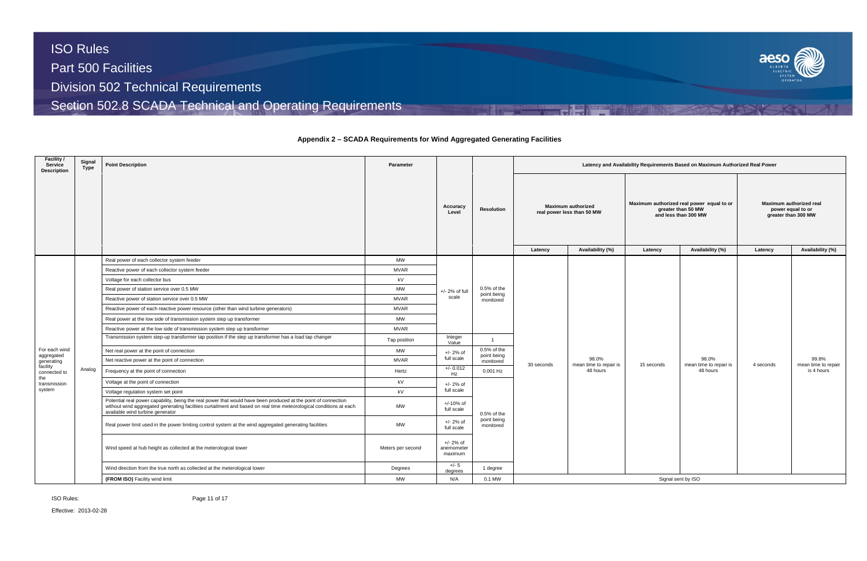Effective: 2013-02-28



# **Appendix 2 – SCADA Requirements for Wind Aggregated Generating Facilities**

| Facility /<br><b>Service</b><br><b>Description</b> | Signal<br>Type | <b>Point Description</b>                                                                                                                                                                                                                                                 | Parameter         |                                      |                                                             | Latency and Availability Requirements Based on Maximum Authorized Real Power           |                                 |                                                                                                                        |                                 |                                                                                                    |                              |  |  |  |  |  |
|----------------------------------------------------|----------------|--------------------------------------------------------------------------------------------------------------------------------------------------------------------------------------------------------------------------------------------------------------------------|-------------------|--------------------------------------|-------------------------------------------------------------|----------------------------------------------------------------------------------------|---------------------------------|------------------------------------------------------------------------------------------------------------------------|---------------------------------|----------------------------------------------------------------------------------------------------|------------------------------|--|--|--|--|--|
|                                                    |                |                                                                                                                                                                                                                                                                          |                   | Accuracy<br>Level                    | <b>Resolution</b>                                           | <b>Maximum authorized</b><br>real power less than 50 MW<br>Availability (%)<br>Latency |                                 | Maximum authorized real power equal to or<br>greater than 50 MW<br>and less than 300 MW<br>Availability (%)<br>Latency |                                 | Maximum authorized real<br>power equal to or<br>greater than 300 MW<br>Availability (%)<br>Latency |                              |  |  |  |  |  |
|                                                    |                | Real power of each collector system feeder                                                                                                                                                                                                                               | <b>MW</b>         |                                      |                                                             |                                                                                        |                                 |                                                                                                                        |                                 |                                                                                                    |                              |  |  |  |  |  |
|                                                    |                | Reactive power of each collector system feeder                                                                                                                                                                                                                           | <b>MVAR</b>       |                                      |                                                             |                                                                                        |                                 |                                                                                                                        |                                 |                                                                                                    |                              |  |  |  |  |  |
|                                                    |                | Voltage for each collector bus                                                                                                                                                                                                                                           | kV                |                                      |                                                             |                                                                                        |                                 |                                                                                                                        |                                 |                                                                                                    |                              |  |  |  |  |  |
|                                                    |                | Real power of station service over 0.5 MW                                                                                                                                                                                                                                | <b>MW</b>         | $+/- 2%$ of full                     | 0.5% of the                                                 |                                                                                        |                                 |                                                                                                                        |                                 |                                                                                                    |                              |  |  |  |  |  |
|                                                    |                | Reactive power of station service over 0.5 MW                                                                                                                                                                                                                            | <b>MVAR</b>       | scale                                | point being<br>monitored                                    |                                                                                        |                                 |                                                                                                                        |                                 |                                                                                                    |                              |  |  |  |  |  |
|                                                    |                | Reactive power of each reactive power resource (other than wind turbine generators)                                                                                                                                                                                      | <b>MVAR</b>       |                                      |                                                             |                                                                                        |                                 |                                                                                                                        |                                 |                                                                                                    |                              |  |  |  |  |  |
|                                                    |                | Real power at the low side of transmission system step up transformer                                                                                                                                                                                                    | <b>MW</b>         |                                      |                                                             |                                                                                        |                                 |                                                                                                                        |                                 |                                                                                                    |                              |  |  |  |  |  |
|                                                    |                | Reactive power at the low side of transmission system step up transformer                                                                                                                                                                                                | <b>MVAR</b>       |                                      |                                                             |                                                                                        |                                 |                                                                                                                        |                                 |                                                                                                    |                              |  |  |  |  |  |
|                                                    |                | Transmission system step-up transformer tap position if the step up transformer has a load tap changer                                                                                                                                                                   | Tap position      | Integer<br>Value                     | $\overline{1}$<br>$0.5%$ of the<br>point being<br>monitored |                                                                                        |                                 |                                                                                                                        |                                 |                                                                                                    |                              |  |  |  |  |  |
| For each wind                                      |                | Net real power at the point of connection                                                                                                                                                                                                                                | <b>MW</b>         | $+/- 2%$ of                          |                                                             |                                                                                        | 98.0%<br>mean time to repair is | 15 seconds                                                                                                             |                                 |                                                                                                    | 99.8%<br>mean time to repair |  |  |  |  |  |
| aggregated<br>generating                           |                | Net reactive power at the point of connection                                                                                                                                                                                                                            | <b>MVAR</b>       | full scale                           |                                                             | 30 seconds                                                                             |                                 |                                                                                                                        | 98.0%<br>mean time to repair is | 4 seconds                                                                                          |                              |  |  |  |  |  |
| facility<br>connected to                           | Analog         | Frequency at the point of connection                                                                                                                                                                                                                                     | Hertz             | $+/- 0.012$<br>Hz                    | $0.001$ Hz                                                  |                                                                                        | 48 hours                        |                                                                                                                        | 48 hours                        |                                                                                                    | is 4 hours                   |  |  |  |  |  |
| the<br>transmission                                |                | Voltage at the point of connection                                                                                                                                                                                                                                       | kV                | $+/- 2%$ of                          |                                                             |                                                                                        |                                 |                                                                                                                        |                                 |                                                                                                    |                              |  |  |  |  |  |
| system                                             |                | Voltage regulation system set point                                                                                                                                                                                                                                      | kV                | full scale                           |                                                             |                                                                                        |                                 |                                                                                                                        |                                 |                                                                                                    |                              |  |  |  |  |  |
|                                                    |                | Potential real power capability, being the real power that would have been produced at the point of connection<br>without wind aggregated generating facilities curtailment and based on real time meteorological conditions at each<br>available wind turbine generator | <b>MW</b>         | +/-10% of<br>full scale              | $0.5%$ of the                                               |                                                                                        |                                 |                                                                                                                        |                                 |                                                                                                    |                              |  |  |  |  |  |
|                                                    |                | Real power limit used in the power limiting control system at the wind aggregated generating facilities                                                                                                                                                                  | <b>MW</b>         | $+/- 2%$ of<br>full scale            | point being<br>monitored                                    |                                                                                        |                                 |                                                                                                                        |                                 |                                                                                                    |                              |  |  |  |  |  |
|                                                    |                | Wind speed at hub height as collected at the meterological tower                                                                                                                                                                                                         | Meters per second | $+/- 2%$ of<br>anemometer<br>maximum |                                                             |                                                                                        |                                 |                                                                                                                        |                                 |                                                                                                    |                              |  |  |  |  |  |
|                                                    |                | Wind direction from the true north as collected at the meterological tower                                                                                                                                                                                               | Degrees           | +/- 5<br>degrees                     | 1 degree                                                    |                                                                                        |                                 |                                                                                                                        |                                 |                                                                                                    |                              |  |  |  |  |  |
|                                                    |                | (FROM ISO) Facility wind limit                                                                                                                                                                                                                                           | <b>MW</b>         | N/A                                  | 0.1 MW                                                      |                                                                                        |                                 |                                                                                                                        | Signal sent by ISO              |                                                                                                    |                              |  |  |  |  |  |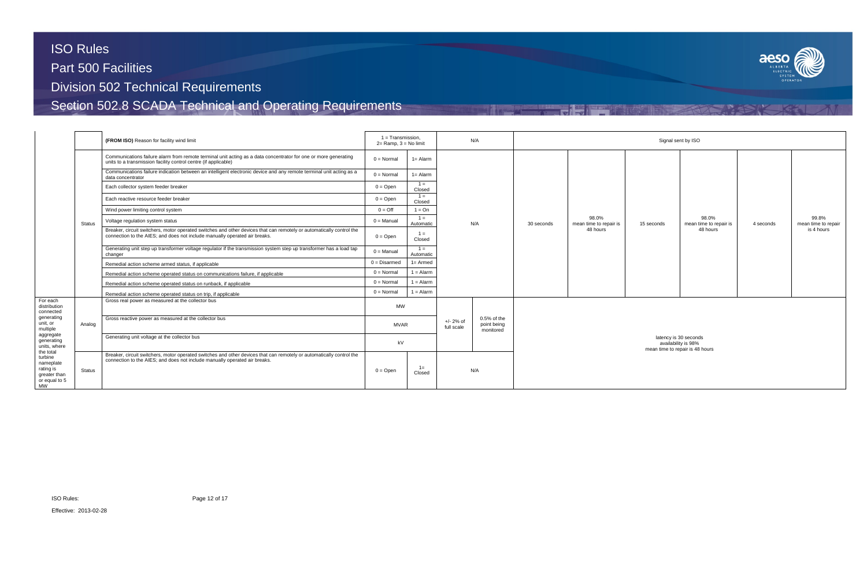

|                                                                                 |        | (FROM ISO) Reason for facility wind limit                                                                                                                                                          | $1 = Transmission$ ,<br>$2 =$ Ramp, $3 =$ No limit |                    |                           | N/A                                     | Signal sent by ISO                                                              |                                             |            |                                 |           |                              |  |  |
|---------------------------------------------------------------------------------|--------|----------------------------------------------------------------------------------------------------------------------------------------------------------------------------------------------------|----------------------------------------------------|--------------------|---------------------------|-----------------------------------------|---------------------------------------------------------------------------------|---------------------------------------------|------------|---------------------------------|-----------|------------------------------|--|--|
|                                                                                 |        | Communications failure alarm from remote terminal unit acting as a data concentrator for one or more generating<br>units to a transmission facility control centre (if applicable)                 | $0 = \text{Normal}$                                | $1 =$ Alarm        |                           |                                         |                                                                                 |                                             |            |                                 |           |                              |  |  |
|                                                                                 |        | Communications failure indication between an intelligent electronic device and any remote terminal unit acting as a<br>data concentrator                                                           | $0 = \text{Normal}$                                | $1 =$ Alarm        |                           |                                         |                                                                                 |                                             |            |                                 |           |                              |  |  |
|                                                                                 |        | Each collector system feeder breaker                                                                                                                                                               | $0 =$ Open                                         | $1 =$<br>Closed    |                           |                                         |                                                                                 |                                             |            |                                 |           |                              |  |  |
|                                                                                 |        | Each reactive resource feeder breaker                                                                                                                                                              | $0 =$ Open                                         | $1 =$<br>Closed    |                           | N/A                                     |                                                                                 |                                             |            |                                 |           |                              |  |  |
|                                                                                 |        | Wind power limiting control system                                                                                                                                                                 | $0 = \text{Off}$                                   | $1 = On$           |                           |                                         |                                                                                 |                                             |            |                                 |           |                              |  |  |
|                                                                                 | Status | Voltage regulation system status                                                                                                                                                                   | $0 =$ Manual                                       | $1 =$<br>Automatic |                           |                                         | 30 seconds                                                                      | 98.0%<br>mean time to repair is<br>48 hours | 15 seconds | 98.0%<br>mean time to repair is | 4 seconds | 99.8%<br>mean time to repair |  |  |
|                                                                                 |        | Breaker, circuit switchers, motor operated switches and other devices that can remotely or automatically control the<br>connection to the AIES; and does not include manually operated air breaks. | $0 =$ Open                                         | $1 =$<br>Closed    |                           |                                         |                                                                                 |                                             |            | 48 hours                        |           | is 4 hours                   |  |  |
|                                                                                 |        | Generating unit step up transformer voltage regulator if the transmission system step up transformer has a load tap<br>changer                                                                     | $0 =$ Manual                                       | $1 =$<br>Automatic |                           |                                         |                                                                                 |                                             |            |                                 |           |                              |  |  |
|                                                                                 |        | Remedial action scheme armed status, if applicable                                                                                                                                                 | $0 = Disarmed$                                     | $1 =$ Armed        |                           |                                         |                                                                                 |                                             |            |                                 |           |                              |  |  |
|                                                                                 |        | Remedial action scheme operated status on communications failure, if applicable                                                                                                                    | $0 = \text{Normal}$                                | $1 =$ Alarm        |                           |                                         |                                                                                 |                                             |            |                                 |           |                              |  |  |
|                                                                                 |        | Remedial action scheme operated status on runback, if applicable                                                                                                                                   | $0 = \text{Normal}$                                | $1 =$ Alarm        |                           |                                         |                                                                                 |                                             |            |                                 |           |                              |  |  |
|                                                                                 |        | Remedial action scheme operated status on trip, if applicable                                                                                                                                      | $0 = Normal$                                       | $1 =$ Alarm        |                           |                                         |                                                                                 |                                             |            |                                 |           |                              |  |  |
| For each<br>distribution<br>connected                                           |        | Gross real power as measured at the collector bus                                                                                                                                                  | <b>MW</b>                                          |                    |                           |                                         |                                                                                 |                                             |            |                                 |           |                              |  |  |
| generating<br>unit, or<br>multiple                                              | Analog | Gross reactive power as measured at the collector bus                                                                                                                                              | <b>MVAR</b>                                        |                    | $+/- 2%$ of<br>full scale | 0.5% of the<br>point being<br>monitored |                                                                                 |                                             |            |                                 |           |                              |  |  |
| aggregate<br>generating<br>units, where                                         |        | Generating unit voltage at the collector bus                                                                                                                                                       | kV                                                 |                    |                           |                                         | latency is 30 seconds<br>availability is 98%<br>mean time to repair is 48 hours |                                             |            |                                 |           |                              |  |  |
| the total<br>turbine<br>nameplate<br>rating is<br>greater than<br>or equal to 5 | Status | Breaker, circuit switchers, motor operated switches and other devices that can remotely or automatically control the<br>connection to the AIES; and does not include manually operated air breaks. | $0 =$ Open                                         | $1 =$<br>Closed    |                           | N/A                                     |                                                                                 |                                             |            |                                 |           |                              |  |  |
| MW                                                                              |        |                                                                                                                                                                                                    |                                                    |                    |                           |                                         |                                                                                 |                                             |            |                                 |           |                              |  |  |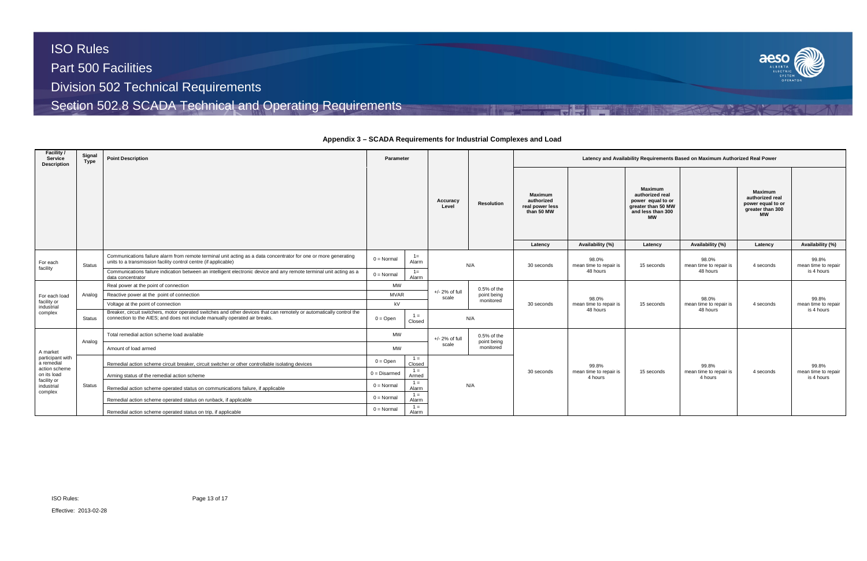

**Appendix 3 – SCADA Requirements for Industrial Complexes and Load**

| <b>Facility /</b><br>Service<br>Description | Signal<br>Type | <b>Point Description</b>                                                                                                                                                                           | Parameter      |                 |                           |                            | Latency and Availability Requirements Based on Maximum Authorized Real Power |                                   |                                                                                                                           |                                    |                                                                                                    |                                   |  |  |
|---------------------------------------------|----------------|----------------------------------------------------------------------------------------------------------------------------------------------------------------------------------------------------|----------------|-----------------|---------------------------|----------------------------|------------------------------------------------------------------------------|-----------------------------------|---------------------------------------------------------------------------------------------------------------------------|------------------------------------|----------------------------------------------------------------------------------------------------|-----------------------------------|--|--|
|                                             |                |                                                                                                                                                                                                    |                |                 | Accuracy<br>Level         | <b>Resolution</b>          | <b>Maximum</b><br>authorized<br>real power less<br>than 50 MW<br>Latency     | Availability (%)                  | <b>Maximum</b><br>authorized real<br>power equal to or<br>greater than 50 MW<br>and less than 300<br><b>MW</b><br>Latency | Availability (%)                   | <b>Maximum</b><br>authorized real<br>power equal to or<br>greater than 300<br><b>MW</b><br>Latency | Availability (%)                  |  |  |
| For each<br>facility                        | <b>Status</b>  | Communications failure alarm from remote terminal unit acting as a data concentrator for one or more generating<br>units to a transmission facility control centre (if applicable)                 | $0 = Normal$   | $1 =$<br>Alarm  |                           | N/A                        |                                                                              | 98.0%<br>mean time to repair is   | 15 seconds                                                                                                                | 98.0%<br>mean time to repair is    | 4 seconds                                                                                          | 99.8%<br>mean time to repair      |  |  |
|                                             |                | Communications failure indication between an intelligent electronic device and any remote terminal unit acting as a<br>data concentrator                                                           | $0 = Normal$   | $1 =$<br>Alarm  |                           |                            |                                                                              | 48 hours                          |                                                                                                                           | 48 hours                           |                                                                                                    | is 4 hours                        |  |  |
|                                             |                | Real power at the point of connection                                                                                                                                                              | <b>MW</b>      |                 |                           | $0.5%$ of the              |                                                                              |                                   |                                                                                                                           |                                    |                                                                                                    |                                   |  |  |
| For each load                               | Analog         | Reactive power at the point of connection                                                                                                                                                          | <b>MVAR</b>    |                 | $+/- 2%$ of full<br>scale | point being                |                                                                              | 98.0%                             |                                                                                                                           | 98.0%                              | 4 seconds                                                                                          | 99.8%                             |  |  |
| facility or<br>industrial                   |                | Voltage at the point of connection                                                                                                                                                                 | kV             |                 |                           | monitored                  | 30 seconds                                                                   | mean time to repair is            | 15 seconds                                                                                                                | mean time to repair is<br>48 hours |                                                                                                    | mean time to repair               |  |  |
| complex                                     | <b>Status</b>  | Breaker, circuit switchers, motor operated switches and other devices that can remotely or automatically control the<br>connection to the AIES; and does not include manually operated air breaks. | $0 = Open$     | $1 =$<br>Closed |                           | N/A                        |                                                                              | 48 hours                          |                                                                                                                           |                                    |                                                                                                    | is 4 hours                        |  |  |
|                                             | Analog         | Total remedial action scheme load available                                                                                                                                                        | MW             |                 | +/- 2% of full            | 0.5% of the<br>point being |                                                                              |                                   |                                                                                                                           |                                    |                                                                                                    |                                   |  |  |
| A market                                    |                | Amount of load armed                                                                                                                                                                               | <b>MW</b>      |                 | scale                     | monitored                  |                                                                              |                                   |                                                                                                                           |                                    |                                                                                                    |                                   |  |  |
| participant with<br>a remedial              |                | Remedial action scheme circuit breaker, circuit switcher or other controllable isolating devices                                                                                                   | $0 = Open$     | $1 =$<br>Closed |                           |                            |                                                                              | 99.8%                             |                                                                                                                           | 99.8%                              |                                                                                                    | 99.8%                             |  |  |
| action scheme<br>on its load<br>facility or |                | Arming status of the remedial action scheme                                                                                                                                                        | $0 = Disarmed$ | $1 =$<br>Armed  |                           |                            | 30 seconds                                                                   | mean time to repair is<br>4 hours | 15 seconds                                                                                                                | mean time to repair is<br>4 hours  | 4 seconds                                                                                          | mean time to repair<br>is 4 hours |  |  |
| industrial<br>complex                       | <b>Status</b>  | Remedial action scheme operated status on communications failure, if applicable                                                                                                                    | $0 = Normal$   | $1 =$<br>Alarm  |                           | N/A                        |                                                                              |                                   |                                                                                                                           |                                    |                                                                                                    |                                   |  |  |
|                                             |                | Remedial action scheme operated status on runback, if applicable                                                                                                                                   | $0 = Normal$   | $1 =$<br>Alarm  |                           |                            |                                                                              |                                   |                                                                                                                           |                                    |                                                                                                    |                                   |  |  |
|                                             |                | Remedial action scheme operated status on trip, if applicable                                                                                                                                      | $0 = Normal$   | $1 =$<br>Alarm  |                           |                            |                                                                              |                                   |                                                                                                                           |                                    |                                                                                                    |                                   |  |  |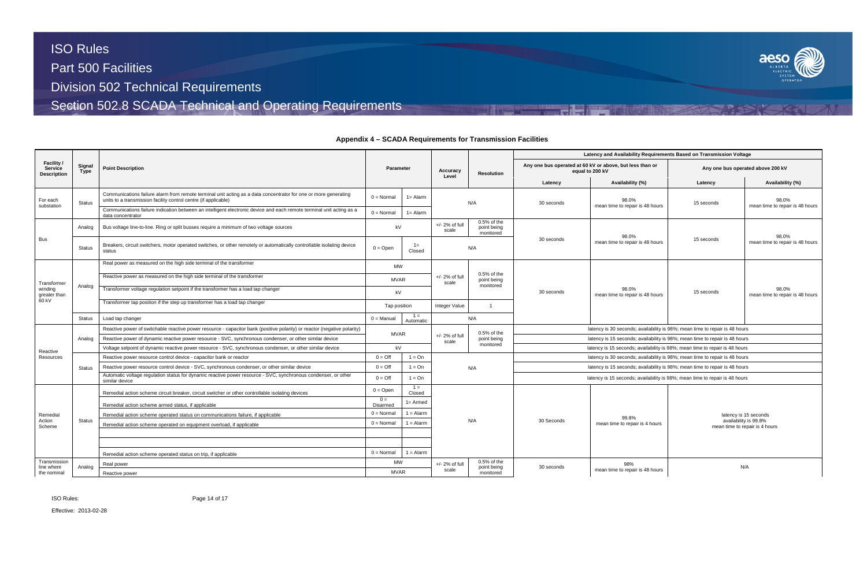ISO Rules:

Effective: 2013-02-28



## **Appendix 4 – SCADA Requirements for Transmission Facilities**

|                                                    |                |                                                                                                                                                                                    |                     |                    |                                                                        |                                           | Latency and Availability Requirements Based on Transmission Voltage         |                                                                             |            |                                                         |  |  |  |
|----------------------------------------------------|----------------|------------------------------------------------------------------------------------------------------------------------------------------------------------------------------------|---------------------|--------------------|------------------------------------------------------------------------|-------------------------------------------|-----------------------------------------------------------------------------|-----------------------------------------------------------------------------|------------|---------------------------------------------------------|--|--|--|
| Facility /<br><b>Service</b><br><b>Description</b> | Signal<br>Type | <b>Point Description</b>                                                                                                                                                           | Parameter           |                    | Accuracy<br>Level                                                      | <b>Resolution</b>                         |                                                                             | Any one bus operated at 60 kV or above, but less than or<br>equal to 200 kV |            | Any one bus operated above 200 kV                       |  |  |  |
|                                                    |                |                                                                                                                                                                                    |                     |                    |                                                                        |                                           | Latency                                                                     | Availability (%)                                                            | Latency    | Availability (%)                                        |  |  |  |
| For each<br>substation                             | <b>Status</b>  | Communications failure alarm from remote terminal unit acting as a data concentrator for one or more generating<br>units to a transmission facility control centre (if applicable) | $0 = Normal$        | $1 =$ Alarm        |                                                                        | N/A                                       | 30 seconds                                                                  | 98.0%<br>mean time to repair is 48 hours                                    | 15 seconds | 98.0%<br>mean time to repair is 48 hours                |  |  |  |
|                                                    |                | Communications failure indication between an intelligent electronic device and each remote terminal unit acting as a<br>data concentrator                                          | $0 = Normal$        | $1 =$ Alarm        |                                                                        |                                           |                                                                             |                                                                             |            |                                                         |  |  |  |
|                                                    | Analog         | Bus voltage line-to-line. Ring or split busses require a minimum of two voltage sources                                                                                            | kV                  |                    | $+/- 2%$ of full<br>scale                                              | $0.5%$ of the<br>point being<br>monitored |                                                                             | 98.0%                                                                       |            | 98.0%                                                   |  |  |  |
| <b>Bus</b>                                         | Status         | Breakers, circuit switchers, motor operated switches, or other remotely or automatically controllable isolating device<br>status                                                   | $0 = Open$          | $1 =$<br>Closed    |                                                                        | N/A                                       | 30 seconds                                                                  | mean time to repair is 48 hours                                             | 15 seconds | mean time to repair is 48 hours                         |  |  |  |
|                                                    |                | Real power as measured on the high side terminal of the transformer                                                                                                                | <b>MW</b>           |                    |                                                                        |                                           |                                                                             |                                                                             |            |                                                         |  |  |  |
| Transformer                                        | Analog         | Reactive power as measured on the high side terminal of the transformer                                                                                                            | <b>MVAR</b>         |                    | $0.5%$ of the<br>$+/- 2%$ of full<br>point being<br>scale<br>monitored |                                           |                                                                             |                                                                             |            |                                                         |  |  |  |
| windina<br>greater than                            |                | Transformer voltage regulation setpoint if the transformer has a load tap changer                                                                                                  | kV                  |                    |                                                                        |                                           | 30 seconds                                                                  | 98.0%<br>mean time to repair is 48 hours                                    | 15 seconds | 98.0%<br>mean time to repair is 48 hours                |  |  |  |
| 60 kV                                              |                | Transformer tap position if the step up transformer has a load tap changer                                                                                                         | Tap position        |                    | Integer Value                                                          | $\overline{1}$                            |                                                                             |                                                                             |            |                                                         |  |  |  |
|                                                    | Status         | Load tap changer                                                                                                                                                                   | $0 =$ Manual        | $1 =$<br>Automatic |                                                                        | N/A                                       |                                                                             |                                                                             |            |                                                         |  |  |  |
|                                                    |                | Reactive power of switchable reactive power resource - capacitor bank (positive polarity) or reactor (negative polarity)                                                           |                     |                    |                                                                        | 0.5% of the                               |                                                                             | latency is 30 seconds; availability is 98%; mean time to repair is 48 hours |            |                                                         |  |  |  |
|                                                    | Analog         | Reactive power of dynamic reactive power resource - SVC, synchronous condenser, or other similar device                                                                            | <b>MVAR</b>         |                    | $+/- 2%$ of full<br>scale                                              | point being                               | latency is 15 seconds; availability is 98%; mean time to repair is 48 hours |                                                                             |            |                                                         |  |  |  |
| Reactive                                           |                | Voltage setpoint of dynamic reactive power resource - SVC, synchronous condenser, or other similar device                                                                          | kV                  |                    |                                                                        | monitored                                 | latency is 15 seconds; availability is 98%; mean time to repair is 48 hours |                                                                             |            |                                                         |  |  |  |
| Resources                                          |                | Reactive power resource control device - capacitor bank or reactor                                                                                                                 | $0 = \text{Off}$    | $1 = On$           |                                                                        |                                           | latency is 30 seconds; availability is 98%; mean time to repair is 48 hours |                                                                             |            |                                                         |  |  |  |
|                                                    | <b>Status</b>  | Reactive power resource control device - SVC, synchronous condenser, or other similar device                                                                                       | $0 = \text{Off}$    | $1 = On$           |                                                                        | N/A                                       |                                                                             | latency is 15 seconds; availability is 98%; mean time to repair is 48 hours |            |                                                         |  |  |  |
|                                                    |                | Automatic voltage regulation status for dynamic reactive power resource - SVC, synchronous condenser, or other<br>similar device                                                   | $0 = \text{Off}$    | $1 = On$           |                                                                        |                                           |                                                                             | latency is 15 seconds; availability is 98%; mean time to repair is 48 hours |            |                                                         |  |  |  |
|                                                    |                | Remedial action scheme circuit breaker, circuit switcher or other controllable isolating devices                                                                                   | $0 = Open$          | $1 =$<br>Closed    |                                                                        |                                           |                                                                             |                                                                             |            |                                                         |  |  |  |
|                                                    |                | Remedial action scheme armed status, if applicable                                                                                                                                 | $0 =$<br>Disarmed   | $1 =$ Armed        |                                                                        |                                           |                                                                             |                                                                             |            |                                                         |  |  |  |
| Remedial                                           |                | Remedial action scheme operated status on communications failure, if applicable                                                                                                    | $0 = \text{Normal}$ | $1 =$ Alarm        |                                                                        |                                           |                                                                             | 99.8%                                                                       |            | latency is 15 seconds                                   |  |  |  |
| Action<br>Scheme                                   | <b>Status</b>  | Remedial action scheme operated on equipment overload, if applicable                                                                                                               | $0 = \text{Normal}$ | $1 =$ Alarm        |                                                                        | N/A                                       | 30 Seconds                                                                  | mean time to repair is 4 hours                                              |            | availability is 99.8%<br>mean time to repair is 4 hours |  |  |  |
|                                                    |                |                                                                                                                                                                                    |                     |                    |                                                                        |                                           |                                                                             |                                                                             |            |                                                         |  |  |  |
|                                                    |                | Remedial action scheme operated status on trip, if applicable                                                                                                                      | $0 = Normal$        | $1 =$ Alarm        |                                                                        |                                           |                                                                             |                                                                             |            |                                                         |  |  |  |
| Transmission<br>line where                         | Analog         | Real power                                                                                                                                                                         | <b>MW</b>           |                    | +/- 2% of full                                                         | 0.5% of the<br>point being                | 30 seconds                                                                  | 98%                                                                         |            | N/A                                                     |  |  |  |
| the nominal                                        |                | Reactive power                                                                                                                                                                     | <b>MVAR</b>         |                    | scale                                                                  | monitored                                 |                                                                             | mean time to repair is 48 hours                                             |            |                                                         |  |  |  |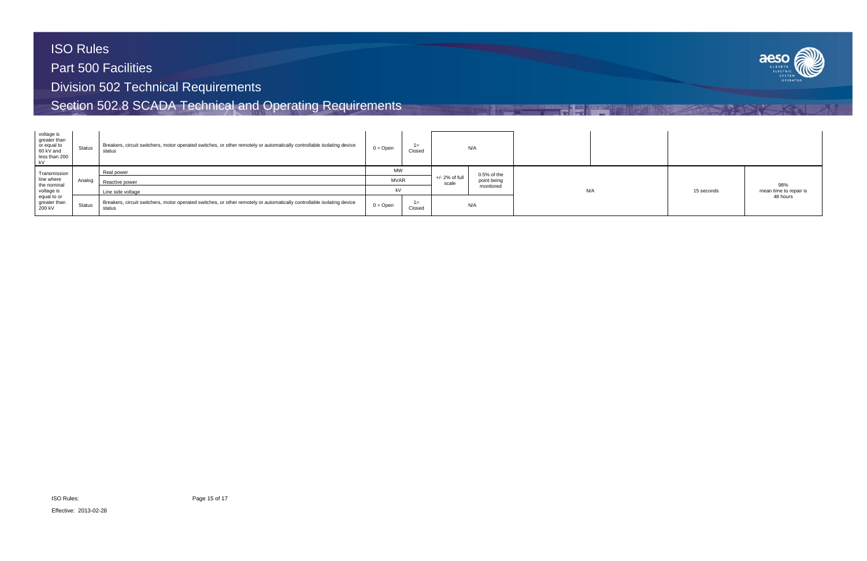

| voltage is<br>greater than<br>or equal to<br>60 kV and<br>less than 200<br>l kV | <b>Status</b> | Breakers, circuit switchers, motor operated switches, or other remotely or automatically controllable isolating device<br>status | $0 = Open$  | $1 =$<br>Closed |                           | N/A           |     |            |                        |
|---------------------------------------------------------------------------------|---------------|----------------------------------------------------------------------------------------------------------------------------------|-------------|-----------------|---------------------------|---------------|-----|------------|------------------------|
| Transmission                                                                    |               | Real power                                                                                                                       | <b>MW</b>   |                 |                           | $0.5%$ of the |     |            |                        |
| line where<br>the nominal                                                       | Analog        | Reactive power                                                                                                                   | <b>MVAR</b> |                 | $+/- 2%$ of full<br>scale | point being   |     |            | 98%                    |
| voltage is                                                                      |               | Line side voltage                                                                                                                | kV          |                 |                           | monitored     | N/A | 15 seconds | mean time to repair is |
| equal to or<br>greater than<br>200 kV                                           | <b>Status</b> | Breakers, circuit switchers, motor operated switches, or other remotely or automatically controllable isolating device<br>status | $0 =$ Open  | $1 =$<br>Closed |                           | N/A           |     |            | 48 hours               |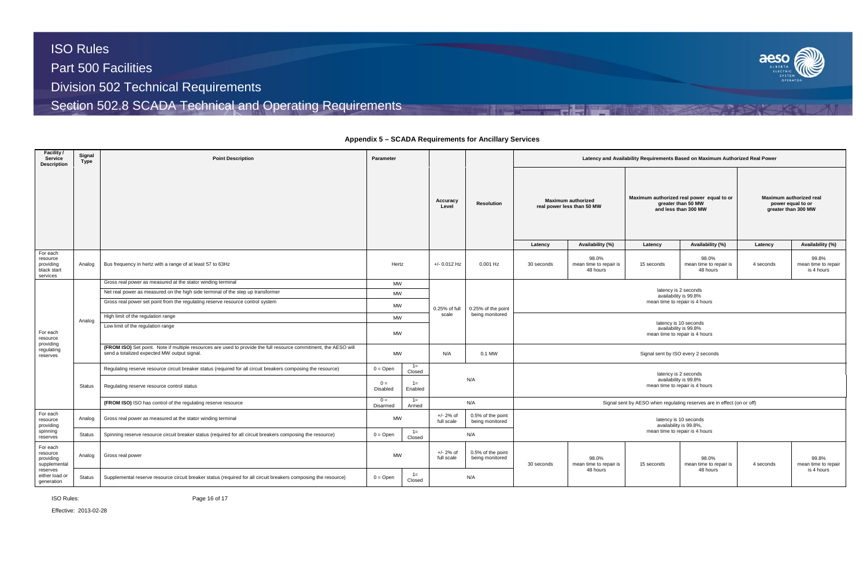ISO Rules:

Effective: 2013-02-28



### **Appendix 5 – SCADA Requirements for Ancillary Services**

| <b>Facility</b> /<br>Service<br><b>Description</b>           | Signal<br>Type | <b>Point Description</b>                                                                                                                                        | Parameter         |                  |                           |                                      | Latency and Availability Requirements Based on Maximum Authorized Real Power |                                             |                                                                                         |                                                                                  |                                                                     |                                            |  |  |  |
|--------------------------------------------------------------|----------------|-----------------------------------------------------------------------------------------------------------------------------------------------------------------|-------------------|------------------|---------------------------|--------------------------------------|------------------------------------------------------------------------------|---------------------------------------------|-----------------------------------------------------------------------------------------|----------------------------------------------------------------------------------|---------------------------------------------------------------------|--------------------------------------------|--|--|--|
|                                                              |                |                                                                                                                                                                 |                   |                  | Accuracy<br>Level         | <b>Resolution</b>                    | <b>Maximum authorized</b><br>real power less than 50 MW                      |                                             | Maximum authorized real power equal to or<br>greater than 50 MW<br>and less than 300 MW |                                                                                  | Maximum authorized real<br>power equal to or<br>greater than 300 MW |                                            |  |  |  |
|                                                              |                |                                                                                                                                                                 |                   |                  |                           |                                      | Latency                                                                      | Availability (%)                            | Latency                                                                                 | Availability (%)                                                                 | Latency                                                             | Availability (%)                           |  |  |  |
| For each<br>resource<br>providing<br>black start<br>services | Analog         | Bus frequency in hertz with a range of at least 57 to 63Hz                                                                                                      | Hertz             |                  | $+/- 0.012$ Hz            | 0.001 Hz                             | 30 seconds                                                                   | 98.0%<br>mean time to repair is<br>48 hours | 15 seconds                                                                              | 98.0%<br>mean time to repair is<br>48 hours                                      | 4 seconds                                                           | 99.8%<br>mean time to repair<br>is 4 hours |  |  |  |
|                                                              |                | Gross real power as measured at the stator winding terminal                                                                                                     | MW                |                  |                           |                                      |                                                                              |                                             |                                                                                         |                                                                                  |                                                                     |                                            |  |  |  |
|                                                              |                | Net real power as measured on the high side terminal of the step up transformer                                                                                 | MW                |                  |                           |                                      | latency is 2 seconds<br>availability is 99.8%                                |                                             |                                                                                         |                                                                                  |                                                                     |                                            |  |  |  |
| For each<br>resource                                         |                | Gross real power set point from the regulating reserve resource control system                                                                                  | MW                |                  | 0.25% of full             | 0.25% of the point                   | mean time to repair is 4 hours                                               |                                             |                                                                                         |                                                                                  |                                                                     |                                            |  |  |  |
|                                                              | Analog         | High limit of the regulation range                                                                                                                              | MW                |                  | scale                     | being monitored                      |                                                                              |                                             |                                                                                         |                                                                                  |                                                                     |                                            |  |  |  |
|                                                              |                | Low limit of the regulation range                                                                                                                               | MW                |                  |                           |                                      |                                                                              |                                             |                                                                                         | latency is 10 seconds<br>availability is 99.8%<br>mean time to repair is 4 hours |                                                                     |                                            |  |  |  |
| providing<br>regulating<br>reserves                          |                | (FROM ISO) Set point. Note if multiple resources are used to provide the full resource commitment, the AESO will<br>send a totalized expected MW output signal. | MW                |                  | N/A                       | 0.1 MW                               | Signal sent by ISO every 2 seconds                                           |                                             |                                                                                         |                                                                                  |                                                                     |                                            |  |  |  |
|                                                              |                | Regulating reserve resource circuit breaker status (required for all circuit breakers composing the resource)                                                   | $0 = Open$        | $1 =$<br>Closed  |                           |                                      |                                                                              |                                             |                                                                                         | latency is 2 seconds                                                             |                                                                     |                                            |  |  |  |
|                                                              | <b>Status</b>  | Regulating reserve resource control status                                                                                                                      | $0 =$<br>Disabled | $1 =$<br>Enabled |                           | N/A                                  |                                                                              |                                             |                                                                                         | availability is 99.8%<br>mean time to repair is 4 hours                          |                                                                     |                                            |  |  |  |
|                                                              |                | (FROM ISO) ISO has control of the regulating reserve resource                                                                                                   | $0 =$<br>Disarmed | $1 =$<br>Armed   |                           | N/A                                  |                                                                              |                                             |                                                                                         | Signal sent by AESO when regulating reserves are in effect (on or off)           |                                                                     |                                            |  |  |  |
| For each<br>resource<br>providing                            | Analog         | Gross real power as measured at the stator winding terminal                                                                                                     | MW                |                  | $+/- 2%$ of<br>full scale | 0.5% of the point<br>being monitored | latency is 10 seconds<br>availability is 99.8%,                              |                                             |                                                                                         |                                                                                  |                                                                     |                                            |  |  |  |
| spinning<br>reserves                                         | <b>Status</b>  | Spinning reserve resource circuit breaker status (required for all circuit breakers composing the resource)                                                     | $0 = Open$        | $1 =$<br>Closed  |                           | N/A                                  |                                                                              |                                             |                                                                                         | mean time to repair is 4 hours                                                   |                                                                     |                                            |  |  |  |
| For each<br>resource<br>providing<br>supplemental            | Analog         | Gross real power                                                                                                                                                | MW                |                  | $+/- 2%$ of<br>full scale | 0.5% of the point<br>being monitored | 30 seconds                                                                   | 98.0%<br>mean time to repair is             | 15 seconds                                                                              | 98.0%<br>mean time to repair is                                                  | 4 seconds                                                           | 99.8%<br>mean time to repair               |  |  |  |
| reserves<br>either load or<br>generation                     | <b>Status</b>  | Supplemental reserve resource circuit breaker status (required for all circuit breakers composing the resource)                                                 | $0 = Open$        | $1 =$<br>Closed  |                           | N/A                                  | 48 hours                                                                     |                                             | 48 hours                                                                                |                                                                                  | is 4 hours                                                          |                                            |  |  |  |